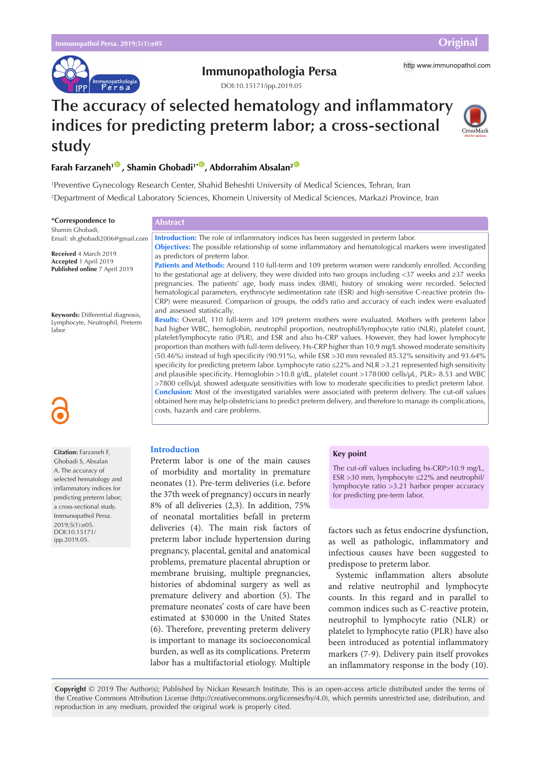

# **Immunopathologia Persa** http [www.immunopathol.com](http://www.immunopathol.com)

DOI[:10.15171/ipp.2019.05](https://doi.org/10.15171/ipp.2019.05)

# **The accuracy of selected hematology and inflammatory indices for predicting preterm labor; a cross-sectional study**



# **Farah Farzaneh<sup>10</sup>, Shamin Ghobadi<sup>1\*</sup>, Abdorrahim Absalan<sup>2</sup><sup>0</sup>**

1 Preventive Gynecology Research Center, Shahid Beheshti University of Medical Sciences, Tehran, Iran 2 Department of Medical Laboratory Sciences, Khomein University of Medical Sciences, Markazi Province, Iran

| *Correspondence to                                                              | <b>Abstract</b>                                                                                                                                                                                                                                                                                                                                                                                                                                                                                                                                                                                                                                                                                                                                                                                                                                                                          |
|---------------------------------------------------------------------------------|------------------------------------------------------------------------------------------------------------------------------------------------------------------------------------------------------------------------------------------------------------------------------------------------------------------------------------------------------------------------------------------------------------------------------------------------------------------------------------------------------------------------------------------------------------------------------------------------------------------------------------------------------------------------------------------------------------------------------------------------------------------------------------------------------------------------------------------------------------------------------------------|
| Shamin Ghobadi,                                                                 |                                                                                                                                                                                                                                                                                                                                                                                                                                                                                                                                                                                                                                                                                                                                                                                                                                                                                          |
| Email: sh.ghobadi2006@gmail.com                                                 | Introduction: The role of inflammatory indices has been suggested in preterm labor.                                                                                                                                                                                                                                                                                                                                                                                                                                                                                                                                                                                                                                                                                                                                                                                                      |
| Received 4 March 2019<br>Accepted 1 April 2019<br>Published online 7 April 2019 | <b>Objectives:</b> The possible relationship of some inflammatory and hematological markers were investigated<br>as predictors of preterm labor.<br>Patients and Methods: Around 110 full-term and 109 preterm women were randomly enrolled. According<br>to the gestational age at delivery, they were divided into two groups including <37 weeks and $\geq$ 37 weeks                                                                                                                                                                                                                                                                                                                                                                                                                                                                                                                  |
|                                                                                 | pregnancies. The patients' age, body mass index (BMI), history of smoking were recorded. Selected<br>hematological parameters, erythrocyte sedimentation rate (ESR) and high-sensitive C-reactive protein (hs-<br>CRP) were measured. Comparison of groups, the odd's ratio and accuracy of each index were evaluated<br>and assessed statistically.                                                                                                                                                                                                                                                                                                                                                                                                                                                                                                                                     |
| Keywords: Differential diagnosis,<br>Lymphocyte, Neutrophil, Preterm<br>labor   | Results: Overall, 110 full-term and 109 preterm mothers were evaluated. Mothers with preterm labor<br>had higher WBC, hemoglobin, neutrophil proportion, neutrophil/lymphocyte ratio (NLR), platelet count,<br>platelet/lymphocyte ratio (PLR), and ESR and also hs-CRP values. However, they had lower lymphocyte<br>proportion than mothers with full-term delivery. Hs-CRP higher than 10.9 mg/L showed moderate sensitivity<br>$(50.46\%)$ instead of high specificity (90.91%), while ESR > 30 mm revealed 85.32% sensitivity and 93.64%<br>specificity for predicting preterm labor. Lymphocyte ratio ≤22% and NLR >3.21 represented high sensitivity<br>and plausible specificity. Hemoglobin >10.8 g/dL, platelet count >178000 cells/µL, PLR> 8.53 and WBC<br>$>7800$ cells/ $\mu$ L showed adequate sensitivities with low to moderate specificities to predict preterm labor. |
| 6                                                                               | Conclusion: Most of the investigated variables were associated with preterm delivery. The cut-off values<br>obtained here may help obstetricians to predict preterm delivery, and therefore to manage its complications,<br>costs, hazards and care problems.                                                                                                                                                                                                                                                                                                                                                                                                                                                                                                                                                                                                                            |

# **Introduction**

Preterm labor is one of the main causes of morbidity and mortality in premature neonates (1). Pre-term deliveries (i.e. before the 37th week of pregnancy) occurs in nearly 8% of all deliveries (2,3). In addition, 75% of neonatal mortalities befall in preterm deliveries (4). The main risk factors of preterm labor include hypertension during pregnancy, placental, genital and anatomical problems, premature placental abruption or membrane bruising, multiple pregnancies, histories of abdominal surgery as well as premature delivery and abortion (5). The premature neonates' costs of care have been estimated at \$30 000 in the United States (6). Therefore, preventing preterm delivery is important to manage its socioeconomical burden, as well as its complications. Preterm labor has a multifactorial etiology. Multiple

## **Key point**

The cut-off values including hs-CRP>10.9 mg/L, ESR >30 mm, lymphocyte ≤22% and neutrophil/ lymphocyte ratio >3.21 harbor proper accuracy for predicting pre-term labor.

factors such as fetus endocrine dysfunction, as well as pathologic, inflammatory and infectious causes have been suggested to predispose to preterm labor.

Systemic inflammation alters absolute and relative neutrophil and lymphocyte counts. In this regard and in parallel to common indices such as C-reactive protein, neutrophil to lymphocyte ratio (NLR) or platelet to lymphocyte ratio (PLR) have also been introduced as potential inflammatory markers (7-9). Delivery pain itself provokes an inflammatory response in the body (10).

**Copyright** © 2019 The Author(s); Published by Nickan Research Institute. This is an open-access article distributed under the terms of the Creative Commons Attribution License (http://creativecommons.org/licenses/by/4.0), which permits unrestricted use, distribution, and reproduction in any medium, provided the original work is properly cited.

**Citation:** Farzaneh F, Ghobadi S, Absalan A. The accuracy of selected hematology and inflammatory indices for predicting preterm labor; a cross-sectional study. Immunopathol Persa. 2019;5(1):e05. DOI:10.15171/ ipp.2019.05.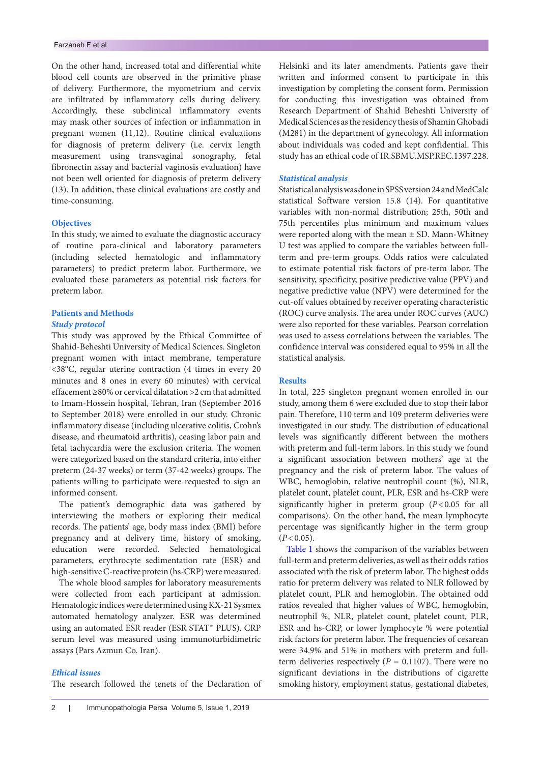On the other hand, increased total and differential white blood cell counts are observed in the primitive phase of delivery. Furthermore, the myometrium and cervix are infiltrated by inflammatory cells during delivery. Accordingly, these subclinical inflammatory events may mask other sources of infection or inflammation in pregnant women (11,12). Routine clinical evaluations for diagnosis of preterm delivery (i.e. cervix length measurement using transvaginal sonography, fetal fibronectin assay and bacterial vaginosis evaluation) have not been well oriented for diagnosis of preterm delivery (13). In addition, these clinical evaluations are costly and time-consuming.

# **Objectives**

In this study, we aimed to evaluate the diagnostic accuracy of routine para-clinical and laboratory parameters (including selected hematologic and inflammatory parameters) to predict preterm labor. Furthermore, we evaluated these parameters as potential risk factors for preterm labor.

# **Patients and Methods**

# *Study protocol*

This study was approved by the Ethical Committee of Shahid-Beheshti University of Medical Sciences. Singleton pregnant women with intact membrane, temperature <38°C, regular uterine contraction (4 times in every 20 minutes and 8 ones in every 60 minutes) with cervical effacement ≥80% or cervical dilatation >2 cm that admitted to Imam-Hossein hospital, Tehran, Iran (September 2016 to September 2018) were enrolled in our study. Chronic inflammatory disease (including ulcerative colitis, Crohn's disease, and rheumatoid arthritis), ceasing labor pain and fetal tachycardia were the exclusion criteria. The women were categorized based on the standard criteria, into either preterm (24-37 weeks) or term (37-42 weeks) groups. The patients willing to participate were requested to sign an informed consent.

The patient's demographic data was gathered by interviewing the mothers or exploring their medical records. The patients' age, body mass index (BMI) before pregnancy and at delivery time, history of smoking, education were recorded. Selected hematological parameters, erythrocyte sedimentation rate (ESR) and high-sensitive C-reactive protein (hs-CRP) were measured.

The whole blood samples for laboratory measurements were collected from each participant at admission. Hematologic indices were determined using KX-21 Sysmex automated hematology analyzer. ESR was determined using an automated ESR reader (ESR STAT™ PLUS). CRP serum level was measured using immunoturbidimetric assays (Pars Azmun Co. Iran).

# *Ethical issues*

The research followed the tenets of the Declaration of

Helsinki and its later amendments. Patients gave their written and informed consent to participate in this investigation by completing the consent form. Permission for conducting this investigation was obtained from Research Department of Shahid Beheshti University of Medical Sciences as the residency thesis of Shamin Ghobadi (M281) in the department of gynecology. All information about individuals was coded and kept confidential. This study has an ethical code of IR.SBMU.MSP.REC.1397.228.

## *Statistical analysis*

Statistical analysis was done in SPSS version 24 and MedCalc statistical Software version 15.8 (14). For quantitative variables with non-normal distribution; 25th, 50th and 75th percentiles plus minimum and maximum values were reported along with the mean  $\pm$  SD. Mann-Whitney U test was applied to compare the variables between fullterm and pre-term groups. Odds ratios were calculated to estimate potential risk factors of pre-term labor. The sensitivity, specificity, positive predictive value (PPV) and negative predictive value (NPV) were determined for the cut-off values obtained by receiver operating characteristic (ROC) curve analysis. The area under ROC curves (AUC) were also reported for these variables. Pearson correlation was used to assess correlations between the variables. The confidence interval was considered equal to 95% in all the statistical analysis.

# **Results**

In total, 225 singleton pregnant women enrolled in our study, among them 6 were excluded due to stop their labor pain. Therefore, 110 term and 109 preterm deliveries were investigated in our study. The distribution of educational levels was significantly different between the mothers with preterm and full-term labors. In this study we found a significant association between mothers' age at the pregnancy and the risk of preterm labor. The values of WBC, hemoglobin, relative neutrophil count (%), NLR, platelet count, platelet count, PLR, ESR and hs-CRP were significantly higher in preterm group (*P*<0.05 for all comparisons). On the other hand, the mean lymphocyte percentage was significantly higher in the term group  $(P<0.05)$ .

[Table 1](#page-2-0) shows the comparison of the variables between full-term and preterm deliveries, as well as their odds ratios associated with the risk of preterm labor. The highest odds ratio for preterm delivery was related to NLR followed by platelet count, PLR and hemoglobin. The obtained odd ratios revealed that higher values of WBC, hemoglobin, neutrophil %, NLR, platelet count, platelet count, PLR, ESR and hs-CRP, or lower lymphocyte % were potential risk factors for preterm labor. The frequencies of cesarean were 34.9% and 51% in mothers with preterm and fullterm deliveries respectively ( $P = 0.1107$ ). There were no significant deviations in the distributions of cigarette smoking history, employment status, gestational diabetes,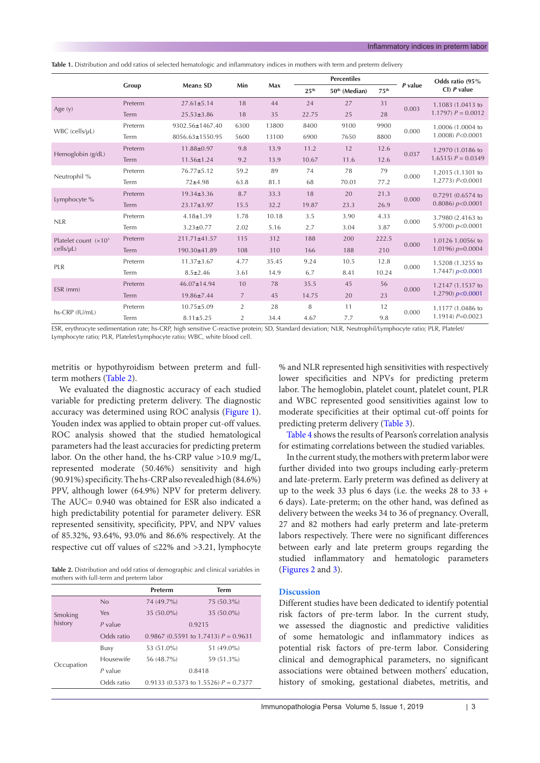<span id="page-2-0"></span>

|  |  | <b>Table 1.</b> Distribution and odd ratios of selected hematologic and inflammatory indices in mothers with term and preterm delivery |  |  |  |  |  |  |  |  |  |  |  |  |  |
|--|--|----------------------------------------------------------------------------------------------------------------------------------------|--|--|--|--|--|--|--|--|--|--|--|--|--|
|--|--|----------------------------------------------------------------------------------------------------------------------------------------|--|--|--|--|--|--|--|--|--|--|--|--|--|

|                         |         |                   |                |       |                  | <b>Percentiles</b>        |                  |         | Odds ratio (95%                            |  |
|-------------------------|---------|-------------------|----------------|-------|------------------|---------------------------|------------------|---------|--------------------------------------------|--|
|                         | Group   | Mean± SD          | Min            | Max   | 25 <sup>th</sup> | 50 <sup>th</sup> (Median) | 75 <sup>th</sup> | P value | $Cl$ ) <i>P</i> value                      |  |
|                         | Preterm | $27.61 \pm 5.14$  | 18             | 44    | 24               | 27                        | 31               | 0.003   | 1.1083 (1.0413 to                          |  |
| Age $(y)$               | Term    | $25.53 \pm 3.86$  | 18             | 35    | 22.75            | 25                        | 28               |         | $1.1797$ ) $P = 0.0012$                    |  |
| WBC (cells/µL)          | Preterm | 9302.56±1467.40   | 6300           | 13800 | 8400             | 9100                      | 9900             | 0.000   | 1,0006 (1,0004 to                          |  |
|                         | Term    | 8056.63±1550.95   | 5600           | 13100 | 6900             | 7650                      | 8800             |         | 1.0008) $P < 0.0001$                       |  |
|                         | Preterm | 11.88±0.97        | 9.8            | 13.9  | 11.2             | 12                        | 12.6             | 0.037   | 1.2970 (1.0186 to                          |  |
| Hemoglobin (g/dL)       | Term    | $11.56 \pm 1.24$  | 9.2            | 13.9  | 10.67            | 11.6                      | 12.6             |         | $1.6515$ ) $P = 0.0349$                    |  |
|                         | Preterm | 76.77±5.12        | 59.2           | 89    | 74               | 78                        | 79               | 0.000   | 1.2015 (1.1301 to<br>1.2773) P<0.0001      |  |
| Neutrophil %            | Term    | $72 + 4.98$       | 63.8           | 81.1  | 68               | 70.01                     | 77.2             |         |                                            |  |
| Lymphocyte %            | Preterm | $19.34 \pm 3.36$  | 8.7            | 33.3  | 18               | 20                        | 21.3             | 0.000   | 0.7291 (0.6574 to<br>$0.8086$ ) $p<0.0001$ |  |
|                         | Term    | 23.17±3.97        | 15.5           | 32.2  | 19.87            | 23.3                      | 26.9             |         |                                            |  |
| <b>NLR</b>              | Preterm | $4.18 \pm 1.39$   | 1.78           | 10.18 | 3.5              | 3.90                      | 4.33             | 0.000   | 3.7980 (2.4163 to                          |  |
|                         | Term    | $3.23 \pm 0.77$   | 2.02           | 5.16  | 2.7              | 3.04                      | 3.87             |         | 5.9700) $p<0.0001$                         |  |
| Platelet count $(x103)$ | Preterm | 211.71±41.57      | 115            | 312   | 188              | 200                       | 222.5            | 0.000   | 1.0126 1.0056( to                          |  |
| cells/µL)               | Term    | 190.30±41.89      | 108            | 310   | 166              | 188                       | 210              |         | 1.0196) $p=0.0004$                         |  |
| PLR                     | Preterm | $11.37 \pm 3.67$  | 4.77           | 35.45 | 9.24             | 10.5                      | 12.8             | 0.000   | 1.5208 (1.3255 to                          |  |
|                         | Term    | $8.5 \pm 2.46$    | 3.61           | 14.9  | 6.7              | 8.41                      | 10.24            |         | 1.7447) $p<0.0001$                         |  |
| ESR (mm)                | Preterm | $46.07 \pm 14.94$ | 10             | 78    | 35.5             | 45                        | 56               | 0.000   | 1.2147 (1.1537 to                          |  |
|                         | Term    | 19.86±7.44        | $\overline{7}$ | 45    | 14.75            | 20                        | 23               |         | 1.2790) $p<0.0001$                         |  |
|                         | Preterm | $10.75 \pm 5.09$  | 2              | 28    | 8                | 11                        | 12               | 0.000   | 1.1177 (1.0486 to                          |  |
| hs-CRP (IU/mL)          | Term    | $8.11 \pm 5.25$   | $\overline{2}$ | 34.4  | 4.67             | 7.7                       | 9.8              |         | $1.1914$ $P=0.0023$                        |  |

ESR, erythrocyte sedimentation rate; hs-CRP, high sensitive C-reactive protein; SD, Standard deviation; NLR, Neutrophil/Lymphocyte ratio; PLR, Platelet/ Lymphocyte ratio; PLR, Platelet/Lymphocyte ratio; WBC, white blood cell.

metritis or hypothyroidism between preterm and fullterm mothers [\(Table 2](#page-2-1)).

We evaluated the diagnostic accuracy of each studied variable for predicting preterm delivery. The diagnostic accuracy was determined using ROC analysis [\(Figure 1\)](#page-3-0). Youden index was applied to obtain proper cut-off values. ROC analysis showed that the studied hematological parameters had the least accuracies for predicting preterm labor. On the other hand, the hs-CRP value >10.9 mg/L, represented moderate (50.46%) sensitivity and high (90.91%) specificity. The hs-CRP also revealed high (84.6%) PPV, although lower (64.9%) NPV for preterm delivery. The AUC= 0.940 was obtained for ESR also indicated a high predictability potential for parameter delivery. ESR represented sensitivity, specificity, PPV, and NPV values of 85.32%, 93.64%, 93.0% and 86.6% respectively. At the respective cut off values of ≤22% and >3.21, lymphocyte

<span id="page-2-1"></span>**Table 2.** Distribution and odd ratios of demographic and clinical variables in mothers with full-term and preterm labor

|            |            | Preterm                                | <b>Term</b>                            |  |  |
|------------|------------|----------------------------------------|----------------------------------------|--|--|
|            | No         | 74 (49.7%)                             | 75 (50.3%)                             |  |  |
| Smoking    | Yes        | 35 (50.0%)                             | 35 (50.0%)                             |  |  |
| history    | $P$ value  |                                        | 0.9215                                 |  |  |
|            | Odds ratio |                                        | 0.9867 (0.5591 to 1.7413) $P = 0.9631$ |  |  |
|            | Busy       | 53 (51.0%)                             | 51 (49.0%)                             |  |  |
|            | Housewife  | 56 (48.7%)                             | 59 (51.3%)                             |  |  |
| Occupation | $P$ value  |                                        | 0.8418                                 |  |  |
|            | Odds ratio | 0.9133 (0.5373 to 1.5526) $P = 0.7377$ |                                        |  |  |

% and NLR represented high sensitivities with respectively lower specificities and NPVs for predicting preterm labor. The hemoglobin, platelet count, platelet count, PLR and WBC represented good sensitivities against low to moderate specificities at their optimal cut-off points for predicting preterm delivery [\(Table 3\)](#page-3-1).

[Table 4](#page-4-0) shows the results of Pearson's correlation analysis for estimating correlations between the studied variables.

In the current study, the mothers with preterm labor were further divided into two groups including early-preterm and late-preterm. Early preterm was defined as delivery at up to the week 33 plus 6 days (i.e. the weeks 28 to 33 + 6 days). Late-preterm; on the other hand, was defined as delivery between the weeks 34 to 36 of pregnancy. Overall, 27 and 82 mothers had early preterm and late-preterm labors respectively. There were no significant differences between early and late preterm groups regarding the studied inflammatory and hematologic parameters [\(Figures 2](#page-4-1) and [3\)](#page-4-2).

## **Discussion**

Different studies have been dedicated to identify potential risk factors of pre-term labor. In the current study, we assessed the diagnostic and predictive validities of some hematologic and inflammatory indices as potential risk factors of pre-term labor. Considering clinical and demographical parameters, no significant associations were obtained between mothers' education, history of smoking, gestational diabetes, metritis, and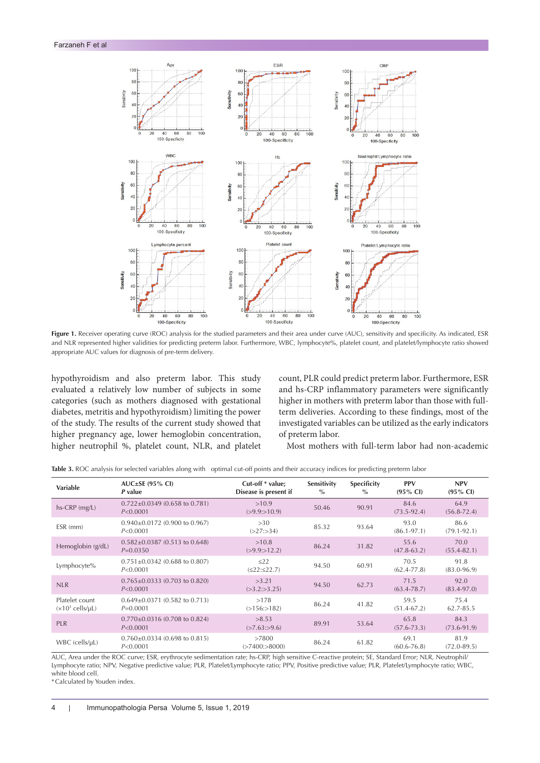<span id="page-3-0"></span>

Figure 1. Receiver operating curve (ROC) analysis for the studied parameters and their area under curve (AUC), sensitivity and specificity. As indicated, ESR and NLR represented higher validities for predicting preterm labor. Furthermore, WBC, lymphocyte%, platelet count, and platelet/lymphocyte ratio showed appropriate AUC values for diagnosis of pre-term delivery.

hypothyroidism and also preterm labor. This study evaluated a relatively low number of subjects in some categories (such as mothers diagnosed with gestational diabetes, metritis and hypothyroidism) limiting the power of the study. The results of the current study showed that higher pregnancy age, lower hemoglobin concentration, higher neutrophil %, platelet count, NLR, and platelet

count, PLR could predict preterm labor. Furthermore, ESR and hs-CRP inflammatory parameters were significantly higher in mothers with preterm labor than those with fullterm deliveries. According to these findings, most of the investigated variables can be utilized as the early indicators of preterm labor.

Most mothers with full-term labor had non-academic

| <b>Variable</b>                                       | $AUC \pm SE$ (95% CI)<br>P value                  | Cut-off * value;<br>Disease is present if | Sensitivity<br>$\%$ | Specificity<br>$\frac{0}{\alpha}$ | <b>PPV</b><br>$(95\% \text{ Cl})$ | <b>NPV</b><br>$(95\% \text{ Cl})$ |
|-------------------------------------------------------|---------------------------------------------------|-------------------------------------------|---------------------|-----------------------------------|-----------------------------------|-----------------------------------|
| hs-CRP (mg/L)                                         | $0.722 \pm 0.0349$ (0.658 to 0.781)<br>P < 0.0001 | >10.9<br>(>9.9:>10.9)                     | 50.46               | 90.91                             | 84.6<br>$(73.5 - 92.4)$           | 64.9<br>$(56.8 - 72.4)$           |
| ESR (mm)                                              | $0.940\pm0.0172$ (0.900 to 0.967)<br>P < 0.0001   | >30<br>(>27:>34)                          | 85.32               | 93.64                             | 93.0<br>$(86.1 - 97.1)$           | 86.6<br>$(79.1 - 92.1)$           |
| Hemoglobin (g/dL)                                     | $0.582 \pm 0.0387$ (0.513 to 0.648)<br>$P=0.0350$ | >10.8<br>(>9.9:>12.2)                     | 86.24               | 31.82                             | 55.6<br>$(47.8 - 63.2)$           | 70.0<br>$(55.4 - 82.1)$           |
| Lymphocyte%                                           | $0.751 \pm 0.0342$ (0.688 to 0.807)<br>P < 0.0001 | $\leq$ 22<br>(522:522.7)                  | 94.50               | 60.91                             | 70.5<br>$(62.4 - 77.8)$           | 91.8<br>$(83.0 - 96.9)$           |
| <b>NLR</b>                                            | $0.765 \pm 0.0333$ (0.703 to 0.820)<br>P < 0.0001 | >3.21<br>(>3.2:>3.25)                     | 94.50               | 62.73                             | 71.5<br>$(63.4 - 78.7)$           | 92.0<br>$(83.4 - 97.0)$           |
| Platelet count<br>$(x10^3 \text{ cells/}\mu\text{L})$ | $0.649 \pm 0.0371$ (0.582 to 0.713)<br>$P=0.0001$ | >178<br>(>156:>182)                       | 86.24               | 41.82                             | 59.5<br>$(51.4 - 67.2)$           | 75.4<br>62.7-85.5                 |
| <b>PLR</b>                                            | $0.770 \pm 0.0316$ (0.708 to 0.824)<br>P < 0.0001 | >8.53<br>(>7.63:>9.6)                     | 89.91               | 53.64                             | 65.8<br>$(57.6 - 73.3)$           | 84.3<br>$(73.6 - 91.9)$           |
| WBC (cells/µL)                                        | $0.760 \pm 0.0334$ (0.698 to 0.815)<br>P < 0.0001 | >7800<br>(>7400:>8000)                    | 86.24               | 61.82                             | 69.1<br>$(60.6 - 76.8)$           | 81.9<br>$(72.0 - 89.5)$           |

<span id="page-3-1"></span>**Table 3.** ROC analysis for selected variables along with optimal cut-off points and their accuracy indices for predicting preterm labor

AUC, Area under the ROC curve; ESR, erythrocyte sedimentation rate; hs-CRP, high sensitive C-reactive protein; SE, Standard Error; NLR, Neutrophil/ Lymphocyte ratio; NPV, Negative predictive value; PLR, Platelet/Lymphocyte ratio; PPV, Positive predictive value; PLR, Platelet/Lymphocyte ratio; WBC, white blood cell.

\*Calculated by Youden index.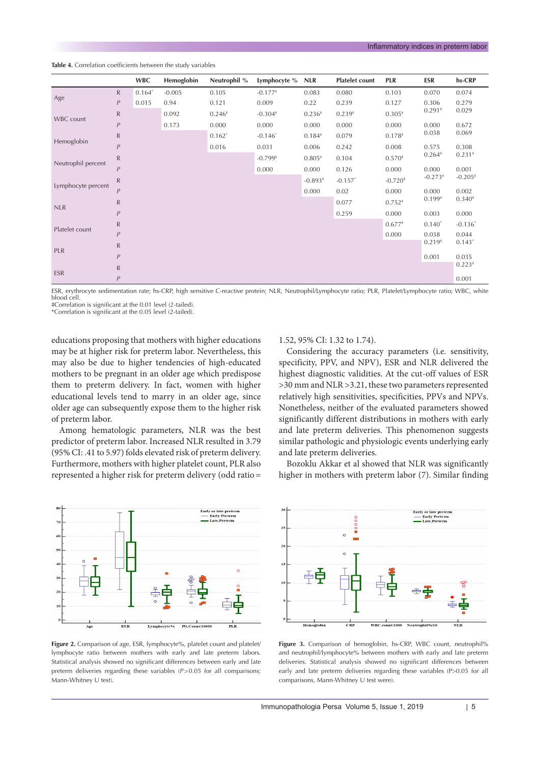<span id="page-4-0"></span>**Table 4.** Correlation coefficients between the study variables

|                    |                  | <b>WBC</b> | Hemoglobin | Neutrophil % | Lymphocyte % | <b>NLR</b> | <b>Platelet count</b> | PLR       | ESR       | hs-CRP    |
|--------------------|------------------|------------|------------|--------------|--------------|------------|-----------------------|-----------|-----------|-----------|
|                    | ${\sf R}$        | $0.164*$   | $-0.005$   | 0.105        | $-0.177*$    | 0.083      | 0.080                 | 0.103     | 0.070     | 0.074     |
| Age                | $\boldsymbol{P}$ | 0.015      | 0.94       | 0.121        | 0.009        | 0.22       | 0.239                 | 0.127     | 0.306     | 0.279     |
| WBC count          | ${\sf R}$        |            | 0.092      | $0.246*$     | $-0.304*$    | $0.236*$   | $0.239*$              | $0.305*$  | $0.291*$  | 0.029     |
|                    | $\boldsymbol{P}$ |            | 0.173      | 0.000        | 0.000        | 0.000      | 0.000                 | 0.000     | 0.000     | 0.672     |
|                    | $\mathsf{R}$     |            |            | $0.162*$     | $-0.146*$    | $0.184*$   | 0.079                 | $0.178*$  | 0.038     | 0.069     |
| Hemoglobin         | P                |            |            | 0.016        | 0.031        | 0.006      | 0.242                 | 0.008     | 0.575     | 0.308     |
| Neutrophil percent | ${\sf R}$        |            |            |              | $-0.799*$    | $0.805*$   | 0.104                 | $0.570*$  | $0.264*$  | $0.231*$  |
|                    | P                |            |            |              | 0.000        | 0.000      | 0.126                 | 0.000     | 0.000     | 0.001     |
|                    | $\mathsf{R}$     |            |            |              |              | $-0.893*$  | $-0.157$ *            | $-0.720*$ | $-0.273*$ | $-0.205*$ |
| Lymphocyte percent | P                |            |            |              |              | 0.000      | 0.02                  | 0.000     | 0.000     | 0.002     |
|                    | ${\sf R}$        |            |            |              |              |            | 0.077                 | $0.752*$  | $0.199*$  | $0.340*$  |
| <b>NLR</b>         | P                |            |            |              |              |            | 0.259                 | 0.000     | 0.003     | 0.000     |
|                    | $\mathsf{R}$     |            |            |              |              |            |                       | $0.677*$  | $0.140*$  | $-0.136*$ |
| Platelet count     | P                |            |            |              |              |            |                       | 0.000     | 0.038     | 0.044     |
|                    | ${\sf R}$        |            |            |              |              |            |                       |           | $0.219*$  | $0.143*$  |
| PLR                | $\boldsymbol{P}$ |            |            |              |              |            |                       |           | 0.001     | 0.035     |
|                    | ${\sf R}$        |            |            |              |              |            |                       |           |           | $0.223*$  |
| <b>ESR</b>         | P                |            |            |              |              |            |                       |           |           | 0.001     |

ESR, erythrocyte sedimentation rate; hs-CRP, high sensitive C-reactive protein; NLR, Neutrophil/Lymphocyte ratio; PLR, Platelet/Lymphocyte ratio; WBC, white blood cell.

‡Correlation is significant at the 0.01 level (2-tailed). \*Correlation is significant at the 0.05 level (2-tailed).

educations proposing that mothers with higher educations may be at higher risk for preterm labor. Nevertheless, this may also be due to higher tendencies of high-educated mothers to be pregnant in an older age which predispose them to preterm delivery. In fact, women with higher educational levels tend to marry in an older age, since older age can subsequently expose them to the higher risk of preterm labor.

Among hematologic parameters, NLR was the best predictor of preterm labor. Increased NLR resulted in 3.79 (95% CI: .41 to 5.97) folds elevated risk of preterm delivery. Furthermore, mothers with higher platelet count, PLR also represented a higher risk for preterm delivery (odd ratio=

<span id="page-4-1"></span>

#### Figure 2. Comparison of age, ESR, lymphocyte%, platelet count and platelet/ lymphocyte ratio between mothers with early and late preterm labors. Statistical analysis showed no significant differences between early and late preterm deliveries regarding these variables (*P*>0.05 for all comparisons; Mann-Whitney U test).

# 1.52, 95% CI: 1.32 to 1.74).

Considering the accuracy parameters (i.e. sensitivity, specificity, PPV, and NPV), ESR and NLR delivered the highest diagnostic validities. At the cut-off values of ESR >30 mm and NLR >3.21, these two parameters represented relatively high sensitivities, specificities, PPVs and NPVs. Nonetheless, neither of the evaluated parameters showed significantly different distributions in mothers with early and late preterm deliveries. This phenomenon suggests similar pathologic and physiologic events underlying early and late preterm deliveries.

Bozoklu Akkar et al showed that NLR was significantly higher in mothers with preterm labor (7). Similar finding

<span id="page-4-2"></span>

Figure 3. Comparison of hemoglobin, hs-CRP, WBC count, neutrophil<sup>%</sup> and neutrophil/lymphocyte% between mothers with early and late preterm deliveries. Statistical analysis showed no significant differences between early and late preterm deliveries regarding these variables (P>0.05 for all comparisons, Mann-Whitney U test were).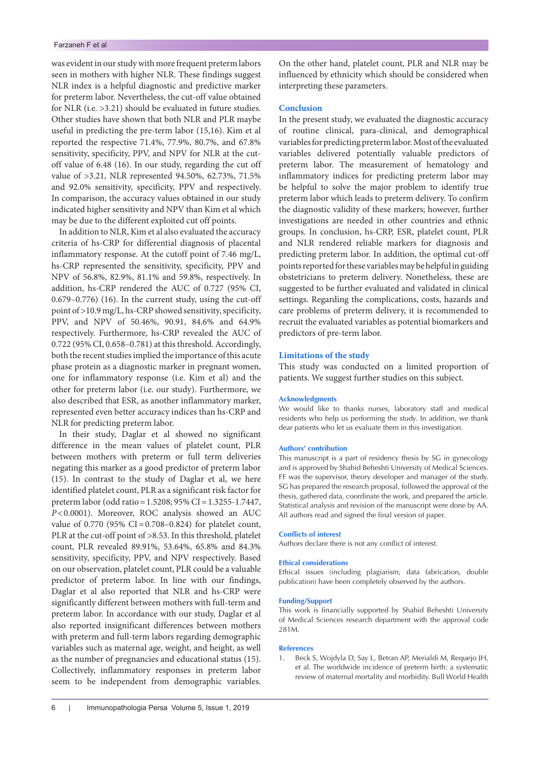was evident in our study with more frequent preterm labors seen in mothers with higher NLR. These findings suggest NLR index is a helpful diagnostic and predictive marker for preterm labor. Nevertheless, the cut-off value obtained for NLR (i.e. >3.21) should be evaluated in future studies. Other studies have shown that both NLR and PLR maybe useful in predicting the pre-term labor (15,16). Kim et al reported the respective 71.4%, 77.9%, 80.7%, and 67.8% sensitivity, specificity, PPV, and NPV for NLR at the cutoff value of 6.48 (16). In our study, regarding the cut off value of >3.21, NLR represented 94.50%, 62.73%, 71.5% and 92.0% sensitivity, specificity, PPV and respectively. In comparison, the accuracy values obtained in our study indicated higher sensitivity and NPV than Kim et al which may be due to the different exploited cut off points.

In addition to NLR, Kim et al also evaluated the accuracy criteria of hs-CRP for differential diagnosis of placental inflammatory response. At the cutoff point of 7.46 mg/L, hs-CRP represented the sensitivity, specificity, PPV and NPV of 56.8%, 82.9%, 81.1% and 59.8%, respectively. In addition, hs-CRP rendered the AUC of 0.727 (95% CI, 0.679–0.776) (16). In the current study, using the cut-off point of >10.9 mg/L, hs-CRP showed sensitivity, specificity, PPV, and NPV of 50.46%, 90.91, 84.6% and 64.9% respectively. Furthermore, hs-CRP revealed the AUC of 0.722 (95% CI, 0.658–0.781) at this threshold. Accordingly, both the recent studies implied the importance of this acute phase protein as a diagnostic marker in pregnant women, one for inflammatory response (i.e. Kim et al) and the other for preterm labor (i.e. our study). Furthermore, we also described that ESR, as another inflammatory marker, represented even better accuracy indices than hs-CRP and NLR for predicting preterm labor.

In their study, Daglar et al showed no significant difference in the mean values of platelet count, PLR between mothers with preterm or full term deliveries negating this marker as a good predictor of preterm labor (15). In contrast to the study of Daglar et al, we here identified platelet count, PLR as a significant risk factor for preterm labor (odd ratio=1.5208; 95% CI=1.3255-1.7447, *P*<0.0001). Moreover, ROC analysis showed an AUC value of 0.770 (95% CI=0.708–0.824) for platelet count, PLR at the cut-off point of >8.53. In this threshold, platelet count, PLR revealed 89.91%, 53.64%, 65.8% and 84.3% sensitivity, specificity, PPV, and NPV respectively. Based on our observation, platelet count, PLR could be a valuable predictor of preterm labor. In line with our findings, Daglar et al also reported that NLR and hs-CRP were significantly different between mothers with full-term and preterm labor. In accordance with our study, Daglar et al also reported insignificant differences between mothers with preterm and full-term labors regarding demographic variables such as maternal age, weight, and height, as well as the number of pregnancies and educational status (15). Collectively, inflammatory responses in preterm labor seem to be independent from demographic variables.

On the other hand, platelet count, PLR and NLR may be influenced by ethnicity which should be considered when interpreting these parameters.

# **Conclusion**

In the present study, we evaluated the diagnostic accuracy of routine clinical, para-clinical, and demographical variables for predicting preterm labor. Most of the evaluated variables delivered potentially valuable predictors of preterm labor. The measurement of hematology and inflammatory indices for predicting preterm labor may be helpful to solve the major problem to identify true preterm labor which leads to preterm delivery. To confirm the diagnostic validity of these markers; however, further investigations are needed in other countries and ethnic groups. In conclusion, hs-CRP, ESR, platelet count, PLR and NLR rendered reliable markers for diagnosis and predicting preterm labor. In addition, the optimal cut-off points reported for these variables may be helpful in guiding obstetricians to preterm delivery. Nonetheless, these are suggested to be further evaluated and validated in clinical settings. Regarding the complications, costs, hazards and care problems of preterm delivery, it is recommended to recruit the evaluated variables as potential biomarkers and predictors of pre-term labor.

# **Limitations of the study**

This study was conducted on a limited proportion of patients. We suggest further studies on this subject.

#### **Acknowledgments**

We would like to thanks nurses, laboratory staff and medical residents who help us performing the study. In addition, we thank dear patients who let us evaluate them in this investigation.

#### **Authors' contribution**

This manuscript is a part of residency thesis by SG in gynecology and is approved by Shahid Beheshti University of Medical Sciences. FF was the supervisor, theory developer and manager of the study. SG has prepared the research proposal, followed the approval of the thesis, gathered data, coordinate the work, and prepared the article. Statistical analysis and revision of the manuscript were done by AA. All authors read and signed the final version of paper.

#### **Conflicts of interest**

Authors declare there is not any conflict of interest.

# **Ethical considerations**

Ethical issues (including plagiarism, data fabrication, double publication) have been completely observed by the authors.

#### **Funding/Support**

This work is financially supported by Shahid Beheshti University of Medical Sciences research department with the approval code 281M.

#### **References**

1. Beck S, Wojdyla D, Say L, Betran AP, Merialdi M, Requejo JH, et al. The worldwide incidence of preterm birth: a systematic review of maternal mortality and morbidity. Bull World Health